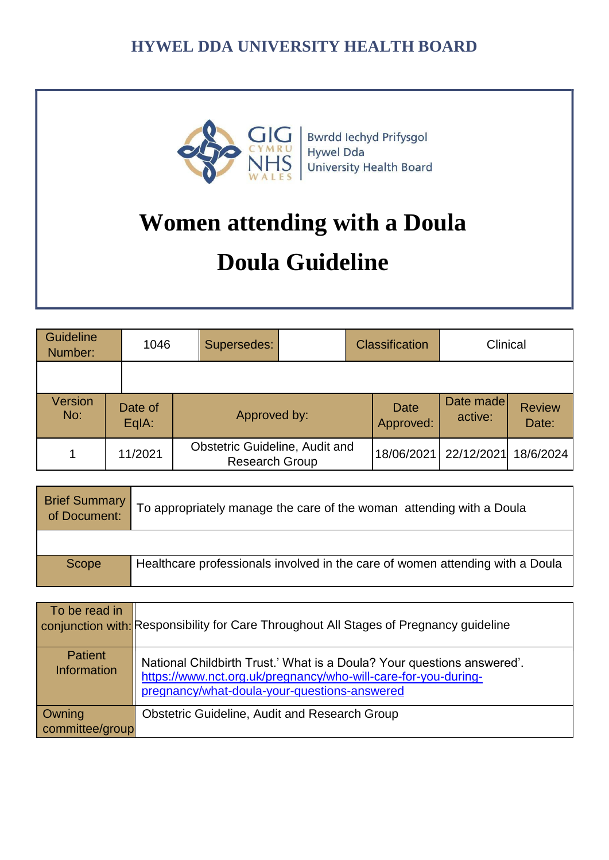

Bwrdd Iechyd Prifysgol **Hywel Dda** University Health Board

# **Women attending with a Doula Doula Guideline**

| <b>Guideline</b><br>Number: |                  | 1046 | Supersedes:                                             |  | <b>Classification</b>    | Clinical             |                        |
|-----------------------------|------------------|------|---------------------------------------------------------|--|--------------------------|----------------------|------------------------|
|                             |                  |      |                                                         |  |                          |                      |                        |
| Version<br>No:              | Date of<br>EqIA: |      | Approved by:                                            |  | <b>Date</b><br>Approved: | Date made<br>active: | <b>Review</b><br>Date: |
|                             | 11/2021          |      | Obstetric Guideline, Audit and<br><b>Research Group</b> |  | 18/06/2021               | 22/12/2021           | 18/6/2024              |

| Brief Summary | To appropriately manage the care of the woman attending with a Doula          |
|---------------|-------------------------------------------------------------------------------|
|               |                                                                               |
| Scope         | Healthcare professionals involved in the care of women attending with a Doula |

| To be read in                        | conjunction with: Responsibility for Care Throughout All Stages of Pregnancy guideline                                                                                                   |
|--------------------------------------|------------------------------------------------------------------------------------------------------------------------------------------------------------------------------------------|
| <b>Patient</b><br><b>Information</b> | National Childbirth Trust.' What is a Doula? Your questions answered'.<br>https://www.nct.org.uk/pregnancy/who-will-care-for-you-during-<br>pregnancy/what-doula-your-questions-answered |
| Owning<br>committee/group            | <b>Obstetric Guideline, Audit and Research Group</b>                                                                                                                                     |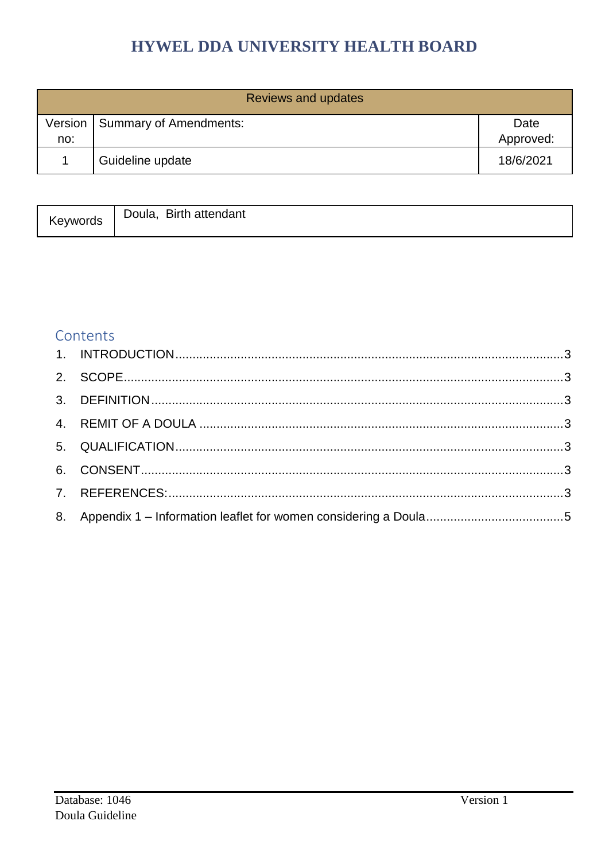| Reviews and updates |                        |                   |  |  |
|---------------------|------------------------|-------------------|--|--|
| Version<br>no:      | Summary of Amendments: | Date<br>Approved: |  |  |
|                     | Guideline update       | 18/6/2021         |  |  |

| Keywords | Doula,<br><b>Birth</b><br>attendant |
|----------|-------------------------------------|
|          |                                     |

## Contents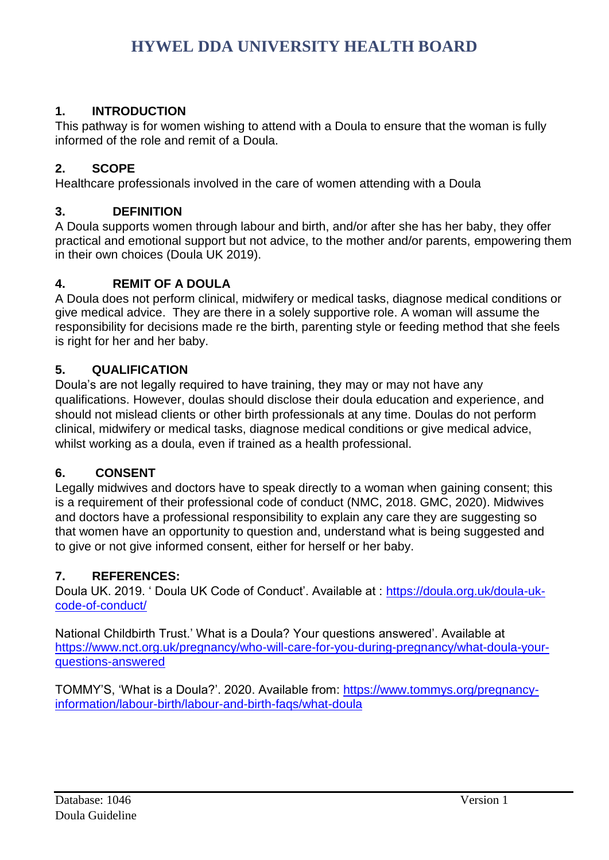## <span id="page-2-0"></span>**1. INTRODUCTION**

This pathway is for women wishing to attend with a Doula to ensure that the woman is fully informed of the role and remit of a Doula.

## <span id="page-2-1"></span>**2. SCOPE**

Healthcare professionals involved in the care of women attending with a Doula

#### <span id="page-2-2"></span>**3. DEFINITION**

A Doula supports women through labour and birth, and/or after she has her baby, they offer practical and emotional support but not advice, to the mother and/or parents, empowering them in their own choices (Doula UK 2019).

#### <span id="page-2-3"></span>**4. REMIT OF A DOULA**

A Doula does not perform clinical, midwifery or medical tasks, diagnose medical conditions or give medical advice. They are there in a solely supportive role. A woman will assume the responsibility for decisions made re the birth, parenting style or feeding method that she feels is right for her and her baby.

#### <span id="page-2-4"></span>**5. QUALIFICATION**

Doula's are not legally required to have training, they may or may not have any qualifications. However, doulas should disclose their doula education and experience, and should not mislead clients or other birth professionals at any time. Doulas do not perform clinical, midwifery or medical tasks, diagnose medical conditions or give medical advice, whilst working as a doula, even if trained as a health professional.

#### <span id="page-2-5"></span>**6. CONSENT**

Legally midwives and doctors have to speak directly to a woman when gaining consent; this is a requirement of their professional code of conduct (NMC, 2018. GMC, 2020). Midwives and doctors have a professional responsibility to explain any care they are suggesting so that women have an opportunity to question and, understand what is being suggested and to give or not give informed consent, either for herself or her baby.

#### <span id="page-2-6"></span>**7. REFERENCES:**

Doula UK. 2019. ' Doula UK Code of Conduct'. Available at : [https://doula.org.uk/doula-uk](https://doula.org.uk/doula-uk-code-of-conduct/)[code-of-conduct/](https://doula.org.uk/doula-uk-code-of-conduct/)

National Childbirth Trust.' What is a Doula? Your questions answered'. Available at [https://www.nct.org.uk/pregnancy/who-will-care-for-you-during-pregnancy/what-doula-your](https://www.nct.org.uk/pregnancy/who-will-care-for-you-during-pregnancy/what-doula-your-questions-answered)[questions-answered](https://www.nct.org.uk/pregnancy/who-will-care-for-you-during-pregnancy/what-doula-your-questions-answered)

TOMMY'S, 'What is a Doula?'. 2020. Available from: [https://www.tommys.org/pregnancy](https://www.tommys.org/pregnancy-information/labour-birth/labour-and-birth-faqs/what-doula)[information/labour-birth/labour-and-birth-faqs/what-doula](https://www.tommys.org/pregnancy-information/labour-birth/labour-and-birth-faqs/what-doula)